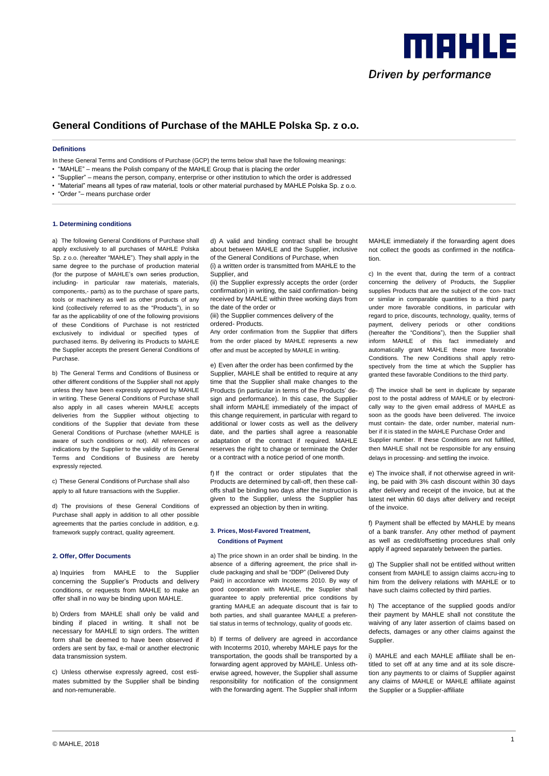

# **General Conditions of Purchase of the MAHLE Polska Sp. z o.o.**

#### **Definitions**

In these General Terms and Conditions of Purchase (GCP) the terms below shall have the following meanings:

- "MAHLE" means the Polish company of the MAHLE Group that is placing the order
- "Supplier" means the person, company, enterprise or other institution to which the order is addressed
- "Material" means all types of raw material, tools or other material purchased by MAHLE Polska Sp. z o.o.
- "Order "– means purchase order

#### **1. Determining conditions**

a) The following General Conditions of Purchase shall apply exclusively to all purchases of MAHLE Polska Sp. z o.o. (hereafter "MAHLE"). They shall apply in the same degree to the purchase of production material (for the purpose of MAHLE's own series production, including- in particular raw materials, materials components,- parts) as to the purchase of spare parts, tools or machinery as well as other products of any kind (collectively referred to as the "Products"), in so far as the applicability of one of the following provisions of these Conditions of Purchase is not restricted exclusively to individual or specified types of purchased items. By delivering its Products to MAHLE the Supplier accepts the present General Conditions of Purchase.

b) The General Terms and Conditions of Business or other different conditions of the Supplier shall not apply unless they have been expressly approved by MAHLE in writing. These General Conditions of Purchase shall also apply in all cases wherein MAHLE accepts deliveries from the Supplier without objecting to conditions of the Supplier that deviate from these General Conditions of Purchase (whether MAHLE is aware of such conditions or not). All references or indications by the Supplier to the validity of its General Terms and Conditions of Business are hereby expressly rejected.

c) These General Conditions of Purchase shall also apply to all future transactions with the Supplier.

d) The provisions of these General Conditions of Purchase shall apply in addition to all other possible agreements that the parties conclude in addition, e.g. framework supply contract, quality agreement.

#### **2. Offer, Offer Documents**

a) Inquiries from MAHLE to the Supplier concerning the Supplier's Products and delivery conditions, or requests from MAHLE to make an offer shall in no way be binding upon MAHLE.

b) Orders from MAHLE shall only be valid and binding if placed in writing. It shall not be necessary for MAHLE to sign orders. The written form shall be deemed to have been observed if orders are sent by fax, e-mail or another electronic data transmission system.

c) Unless otherwise expressly agreed, cost estimates submitted by the Supplier shall be binding and non-remunerable.

d) A valid and binding contract shall be brought about between MAHLE and the Supplier, inclusive of the General Conditions of Purchase, when

(i) a written order is transmitted from MAHLE to the Supplier, and

(ii) the Supplier expressly accepts the order (order confirmation) in writing, the said confirmation- being received by MAHLE within three working days from the date of the order or

(iii) the Supplier commences delivery of the

ordered- Products.

Any order confirmation from the Supplier that differs from the order placed by MAHLE represents a new offer and must be accepted by MAHLE in writing.

e) Even after the order has been confirmed by the Supplier, MAHLE shall be entitled to require at any time that the Supplier shall make changes to the Products (in particular in terms of the Products' design and performance). In this case, the Supplier shall inform MAHLE immediately of the impact of this change requirement, in particular with regard to additional or lower costs as well as the delivery date, and the parties shall agree a reasonable adaptation of the contract if required. MAHLE reserves the right to change or terminate the Order or a contract with a notice period of one month.

f) If the contract or order stipulates that the Products are determined by call-off, then these calloffs shall be binding two days after the instruction is given to the Supplier, unless the Supplier has expressed an objection by then in writing.

# **3. Prices, Most-Favored Treatment, Conditions of Payment**

a) The price shown in an order shall be binding. In the absence of a differing agreement, the price shall include packaging and shall be "DDP" (Delivered Duty Paid) in accordance with Incoterms 2010. By way of good cooperation with MAHLE, the Supplier shall guarantee to apply preferential price conditions by granting MAHLE an adequate discount that is fair to both parties, and shall guarantee MAHLE a preferential status in terms of technology, quality of goods etc.

b) If terms of delivery are agreed in accordance with Incoterms 2010, whereby MAHLE pays for the transportation, the goods shall be transported by a forwarding agent approved by MAHLE. Unless otherwise agreed, however, the Supplier shall assume responsibility for notification of the consignment with the forwarding agent. The Supplier shall inform MAHLE immediately if the forwarding agent does not collect the goods as confirmed in the notification.

c) In the event that, during the term of a contract concerning the delivery of Products, the Supplier supplies Products that are the subject of the con- tract or similar in comparable quantities to a third party under more favorable conditions, in particular with regard to price, discounts, technology, quality, terms of payment, delivery periods or other conditions (hereafter the "Conditions"), then the Supplier shall inform MAHLE of this fact immediately and automatically grant MAHLE these more favorable Conditions. The new Conditions shall apply retrospectively from the time at which the Supplier has granted these favorable Conditions to the third party.

d) The invoice shall be sent in duplicate by separate post to the postal address of MAHLE or by electronically way to the given email address of MAHLE as soon as the goods have been delivered. The invoice must contain- the date, order number, material number if it is stated in the MAHLE Purchase Order and Supplier number. If these Conditions are not fulfilled, then MAHLE shall not be responsible for any ensuing delays in processing- and settling the invoice.

e) The invoice shall, if not otherwise agreed in writing, be paid with 3% cash discount within 30 days after delivery and receipt of the invoice, but at the latest net within 60 days after delivery and receipt of the invoice.

f) Payment shall be effected by MAHLE by means of a bank transfer. Any other method of payment as well as credit/offsetting procedures shall only apply if agreed separately between the parties.

g) The Supplier shall not be entitled without written consent from MAHLE to assign claims accru-ing to him from the delivery relations with MAHLE or to have such claims collected by third parties.

h) The acceptance of the supplied goods and/or their payment by MAHLE shall not constitute the waiving of any later assertion of claims based on defects, damages or any other claims against the Supplier.

i) MAHLE and each MAHLE affiliate shall be entitled to set off at any time and at its sole discretion any payments to or claims of Supplier against any claims of MAHLE or MAHLE affiliate against the Supplier or a Supplier-affiliate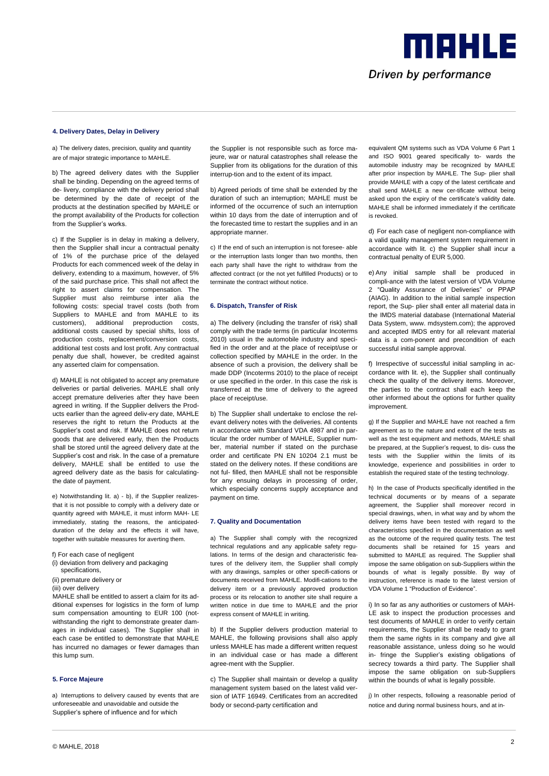

## **4. Delivery Dates, Delay in Delivery**

a) The delivery dates, precision, quality and quantity are of major strategic importance to MAHLE.

b) The agreed delivery dates with the Supplier shall be binding. Depending on the agreed terms of de- livery, compliance with the delivery period shall be determined by the date of receipt of the products at the destination specified by MAHLE or the prompt availability of the Products for collection from the Supplier's works.

c) If the Supplier is in delay in making a delivery, then the Supplier shall incur a contractual penalty of 1% of the purchase price of the delayed Products for each commenced week of the delay in delivery, extending to a maximum, however, of 5% of the said purchase price. This shall not affect the right to assert claims for compensation. The Supplier must also reimburse inter alia the following costs: special travel costs (both from Suppliers to MAHLE and from MAHLE to its customers), additional preproduction costs, additional costs caused by special shifts, loss of production costs, replacement/conversion costs, additional test costs and lost profit. Any contractual penalty due shall, however, be credited against any asserted claim for compensation.

d) MAHLE is not obligated to accept any premature deliveries or partial deliveries. MAHLE shall only accept premature deliveries after they have been agreed in writing. If the Supplier delivers the Products earlier than the agreed deliv-ery date, MAHLE reserves the right to return the Products at the Supplier's cost and risk. If MAHLE does not return goods that are delivered early, then the Products shall be stored until the agreed delivery date at the Supplier's cost and risk. In the case of a premature delivery, MAHLE shall be entitled to use the agreed delivery date as the basis for calculatingthe date of payment.

e) Notwithstanding lit. a) - b), if the Supplier realizesthat it is not possible to comply with a delivery date or quantity agreed with MAHLE, it must inform MAH- LE immediately, stating the reasons, the anticipatedduration of the delay and the effects it will have, together with suitable measures for averting them.

- f) For each case of negligent
- (i) deviation from delivery and packaging specifications,
- (ii) premature delivery or
- (iii) over delivery

MAHLE shall be entitled to assert a claim for its additional expenses for logistics in the form of lump sum compensation amounting to EUR 100 (notwithstanding the right to demonstrate greater damages in individual cases). The Supplier shall in each case be entitled to demonstrate that MAHLE has incurred no damages or fewer damages than this lump sum.

# **5. Force Majeure**

a) Interruptions to delivery caused by events that are unforeseeable and unavoidable and outside the Supplier's sphere of influence and for which

the Supplier is not responsible such as force majeure, war or natural catastrophes shall release the Supplier from its obligations for the duration of this interrup-tion and to the extent of its impact.

b) Agreed periods of time shall be extended by the duration of such an interruption; MAHLE must be informed of the occurrence of such an interruption within 10 days from the date of interruption and of the forecasted time to restart the supplies and in an appropriate manner.

c) If the end of such an interruption is not foresee- able or the interruption lasts longer than two months, then each party shall have the right to withdraw from the affected contract (or the not yet fulfilled Products) or to terminate the contract without notice.

## **6. Dispatch, Transfer of Risk**

a) The delivery (including the transfer of risk) shall comply with the trade terms (in particular Incoterms 2010) usual in the automobile industry and specified in the order and at the place of receipt/use or collection specified by MAHLE in the order. In the absence of such a provision, the delivery shall be made DDP (Incoterms 2010) to the place of receipt or use specified in the order. In this case the risk is transferred at the time of delivery to the agreed place of receipt/use.

b) The Supplier shall undertake to enclose the relevant delivery notes with the deliveries. All contents in accordance with Standard VDA 4987 and in particular the order number of MAHLE, Supplier number, material number if stated on the purchase order and certificate PN EN 10204 2.1 must be stated on the delivery notes. If these conditions are not ful- filled, then MAHLE shall not be responsible for any ensuing delays in processing of order, which especially concerns supply acceptance and payment on time.

#### **7. Quality and Documentation**

a) The Supplier shall comply with the recognized technical regulations and any applicable safety regulations. In terms of the design and characteristic features of the delivery item, the Supplier shall comply with any drawings, samples or other specifi-cations or documents received from MAHLE. Modifi-cations to the delivery item or a previously approved production process or its relocation to another site shall require a written notice in due time to MAHLE and the prior express consent of MAHLE in writing.

b) If the Supplier delivers production material to MAHLE, the following provisions shall also apply unless MAHLE has made a different written request in an individual case or has made a different agree-ment with the Supplier.

c) The Supplier shall maintain or develop a quality management system based on the latest valid version of IATF 16949. Certificates from an accredited body or second-party certification and

equivalent QM systems such as VDA Volume 6 Part 1 and ISO 9001 geared specifically to- wards the automobile industry may be recognized by MAHLE after prior inspection by MAHLE. The Sup- plier shall provide MAHLE with a copy of the latest certificate and shall send MAHLE a new cer-tificate without being asked upon the expiry of the certificate's validity date. MAHLE shall be informed immediately if the certificate is revoked.

d) For each case of negligent non-compliance with a valid quality management system requirement in accordance with lit. c) the Supplier shall incur a contractual penalty of EUR 5,000.

e) Any initial sample shall be produced in compli-ance with the latest version of VDA Volume 2 "Quality Assurance of Deliveries" or PPAP (AIAG). In addition to the initial sample inspection report, the Sup- plier shall enter all material data in the IMDS material database (International Material Data System, www. mdsystem.com); the approved and accepted IMDS entry for all relevant material data is a com-ponent and precondition of each successful initial sample approval.

f) Irrespective of successful initial sampling in accordance with lit. e), the Supplier shall continually check the quality of the delivery items. Moreover, the parties to the contract shall each keep the other informed about the options for further quality improvement.

g) If the Supplier and MAHLE have not reached a firm agreement as to the nature and extent of the tests as well as the test equipment and methods, MAHLE shall be prepared, at the Supplier's request, to dis- cuss the tests with the Supplier within the limits of its knowledge, experience and possibilities in order to establish the required state of the testing technology.

h) In the case of Products specifically identified in the technical documents or by means of a separate agreement, the Supplier shall moreover record in special drawings, when, in what way and by whom the delivery items have been tested with regard to the characteristics specified in the documentation as well as the outcome of the required quality tests. The test documents shall be retained for 15 years and submitted to MAHLE as required. The Supplier shall impose the same obligation on sub-Suppliers within the bounds of what is legally possible. By way of instruction, reference is made to the latest version of VDA Volume 1 "Production of Evidence".

i) In so far as any authorities or customers of MAH-LE ask to inspect the production processes and test documents of MAHLE in order to verify certain requirements, the Supplier shall be ready to grant them the same rights in its company and give all reasonable assistance, unless doing so he would in- fringe the Supplier's existing obligations of secrecy towards a third party. The Supplier shall impose the same obligation on sub-Suppliers within the bounds of what is legally possible.

j) In other respects, following a reasonable period of notice and during normal business hours, and at in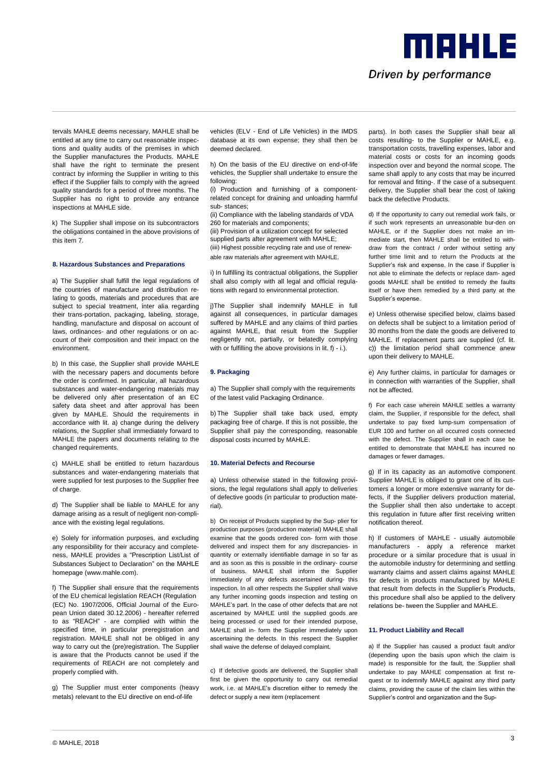tervals MAHLE deems necessary, MAHLE shall be entitled at any time to carry out reasonable inspections and quality audits of the premises in which the Supplier manufactures the Products. MAHLE shall have the right to terminate the present contract by informing the Supplier in writing to this effect if the Supplier fails to comply with the agreed quality standards for a period of three months. The Supplier has no right to provide any entrance inspections at MAHLE side.

k) The Supplier shall impose on its subcontractors the obligations contained in the above provisions of this item 7.

#### **8. Hazardous Substances and Preparations**

a) The Supplier shall fulfill the legal regulations of the countries of manufacture and distribution relating to goods, materials and procedures that are subject to special treatment, inter alia regarding their trans-portation, packaging, labeling, storage, handling, manufacture and disposal on account of laws, ordinances- and other regulations or on account of their composition and their impact on the environment.

b) In this case, the Supplier shall provide MAHLE with the necessary papers and documents before the order is confirmed. In particular, all hazardous substances and water-endangering materials may be delivered only after presentation of an EC safety data sheet and after approval has been given by MAHLE. Should the requirements in accordance with lit. a) change during the delivery relations, the Supplier shall immediately forward to MAHLE the papers and documents relating to the changed requirements.

c) MAHLE shall be entitled to return hazardous substances and water-endangering materials that were supplied for test purposes to the Supplier free of charge.

d) The Supplier shall be liable to MAHLE for any damage arising as a result of negligent non-compliance with the existing legal regulations.

e) Solely for information purposes, and excluding any responsibility for their accuracy and completeness, MAHLE provides a "Prescription List/List of Substances Subject to Declaration" on the MAHLE homepage (www.mahle.com).

f) The Supplier shall ensure that the requirements of the EU chemical legislation REACH (Regulation (EC) No. 1907/2006, Official Journal of the European Union dated 30.12.2006) - hereafter referred to as "REACH" - are complied with within the specified time, in particular preregistration and registration. MAHLE shall not be obliged in any way to carry out the (pre)registration. The Supplier is aware that the Products cannot be used if the requirements of REACH are not completely and properly complied with.

g) The Supplier must enter components (heavy metals) relevant to the EU directive on end-of-life

vehicles (ELV - End of Life Vehicles) in the IMDS database at its own expense; they shall then be deemed declared.

h) On the basis of the EU directive on end-of-life vehicles, the Supplier shall undertake to ensure the following:

(i) Production and furnishing of a componentrelated concept for draining and unloading harmful sub- stances;

(ii) Compliance with the labeling standards of VDA 260 for materials and components; (iii) Provision of a utilization concept for selected supplied parts after agreement with MAHLE; (iiii) Highest possible recycling rate and use of renewable raw materials after agreement with MAHLE.

i) In fulfilling its contractual obligations, the Supplier shall also comply with all legal and official regulations with regard to environmental protection.

j)The Supplier shall indemnify MAHLE in full against all consequences, in particular damages suffered by MAHLE and any claims of third parties against MAHLE, that result from the Supplier negligently not, partially, or belatedly complying with or fulfilling the above provisions in lit. f) - i.).

#### **9. Packaging**

a) The Supplier shall comply with the requirements of the latest valid Packaging Ordinance.

b) The Supplier shall take back used, empty packaging free of charge. If this is not possible, the Supplier shall pay the corresponding, reasonable disposal costs incurred by MAHLE.

#### **10. Material Defects and Recourse**

a) Unless otherwise stated in the following provisions, the legal regulations shall apply to deliveries of defective goods (in particular to production material).

b) On receipt of Products supplied by the Sup- plier for production purposes (production material) MAHLE shall examine that the goods ordered con- form with those delivered and inspect them for any discrepancies- in quantity or externally identifiable damage in so far as and as soon as this is possible in the ordinary- course of business. MAHLE shall inform the Supplier immediately of any defects ascertained during- this inspection. In all other respects the Supplier shall waive any further incoming goods inspection and testing on MAHLE's part. In the case of other defects that are not ascertained by MAHLE until the supplied goods are being processed or used for their intended purpose, MAHLE shall in- form the Supplier immediately upon ascertaining the defects. In this respect the Supplier shall waive the defense of delayed complaint.

c) If defective goods are delivered, the Supplier shall first be given the opportunity to carry out remedial work, i.e. at MAHLE's discretion either to remedy the defect or supply a new item (replacement

parts). In both cases the Supplier shall bear all costs resulting- to the Supplier or MAHLE, e.g. transportation costs, travelling expenses, labor and material costs or costs for an incoming goods inspection over and beyond the normal scope. The same shall apply to any costs that may be incurred for removal and fitting-. If the case of a subsequent delivery, the Supplier shall bear the cost of taking back the defective Products.

Driven by performance

meens

d) If the opportunity to carry out remedial work fails, or if such work represents an unreasonable bur-den on MAHLE, or if the Supplier does not make an immediate start, then MAHLE shall be entitled to withdraw from the contract / order without setting any further time limit and to return the Products at the Supplier's risk and expense. In the case if Supplier is not able to eliminate the defects or replace dam- aged goods MAHLE shall be entitled to remedy the faults itself or have them remedied by a third party at the Supplier's expense.

e) Unless otherwise specified below, claims based on defects shall be subject to a limitation period of 30 months from the date the goods are delivered to MAHLE. If replacement parts are supplied (cf. lit. c)) the limitation period shall commence anew upon their delivery to MAHLE.

e) Any further claims, in particular for damages or in connection with warranties of the Supplier, shall not be affected.

f) For each case wherein MAHLE settles a warranty claim, the Supplier, if responsible for the defect, shall undertake to pay fixed lump-sum compensation of EUR 100 and further on all occurred costs connected with the defect. The Supplier shall in each case be entitled to demonstrate that MAHLE has incurred no damages or fewer damages.

g) If in its capacity as an automotive component Supplier MAHLE is obliged to grant one of its customers a longer or more extensive warranty for defects, if the Supplier delivers production material, the Supplier shall then also undertake to accept this regulation in future after first receiving written notification thereof.

h) If customers of MAHLE - usually automobile manufacturers - apply a reference market procedure or a similar procedure that is usual in the automobile industry for determining and settling warranty claims and assert claims against MAHLE for defects in products manufactured by MAHLE that result from defects in the Supplier's Products, this procedure shall also be applied to the delivery relations be- tween the Supplier and MAHLE.

#### **11. Product Liability and Recall**

a) If the Supplier has caused a product fault and/or (depending upon the basis upon which the claim is made) is responsible for the fault, the Supplier shall undertake to pay MAHLE compensation at first request or to indemnify MAHLE against any third party claims, providing the cause of the claim lies within the Supplier's control and organization and the Sup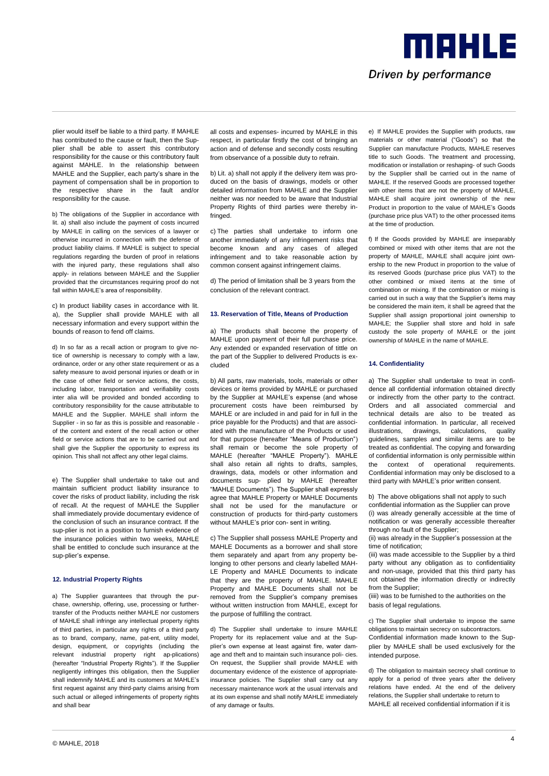plier would itself be liable to a third party. If MAHLE has contributed to the cause or fault, then the Supplier shall be able to assert this contributory responsibility for the cause or this contributory fault against MAHLE. In the relationship between MAHLE and the Supplier, each party's share in the payment of compensation shall be in proportion to the respective share in the fault and/or responsibility for the cause.

b) The obligations of the Supplier in accordance with lit. a) shall also include the payment of costs incurred by MAHLE in calling on the services of a lawyer or otherwise incurred in connection with the defense of product liability claims. If MAHLE is subject to special regulations regarding the burden of proof in relations with the injured party, these regulations shall also apply- in relations between MAHLE and the Supplier provided that the circumstances requiring proof do not fall within MAHLE's area of responsibility.

c) In product liability cases in accordance with lit. a), the Supplier shall provide MAHLE with all necessary information and every support within the bounds of reason to fend off claims.

d) In so far as a recall action or program to give notice of ownership is necessary to comply with a law, ordinance, order or any other state requirement or as a safety measure to avoid personal injuries or death or in the case of other field or service actions, the costs, including labor, transportation and verifiability costs inter alia will be provided and bonded according to contributory responsibility for the cause attributable to MAHLE and the Supplier. MAHLE shall inform the Supplier - in so far as this is possible and reasonable of the content and extent of the recall action or other field or service actions that are to be carried out and shall give the Supplier the opportunity to express its opinion. This shall not affect any other legal claims.

e) The Supplier shall undertake to take out and maintain sufficient product liability insurance to cover the risks of product liability, including the risk of recall. At the request of MAHLE the Supplier shall immediately provide documentary evidence of the conclusion of such an insurance contract. If the sup-plier is not in a position to furnish evidence of the insurance policies within two weeks, MAHLE shall be entitled to conclude such insurance at the sup-plier's expense.

#### **12. Industrial Property Rights**

a) The Supplier guarantees that through the purchase, ownership, offering, use, processing or furthertransfer of the Products neither MAHLE nor customers of MAHLE shall infringe any intellectual property rights of third parties, in particular any rights of a third party as to brand, company, name, pat-ent, utility model, design, equipment, or copyrights (including the relevant industrial property right ap-plications) (hereafter "Industrial Property Rights"). If the Supplier negligently infringes this obligation, then the Supplier shall indemnify MAHLE and its customers at MAHLE's first request against any third-party claims arising from such actual or alleged infringements of property rights and shall bear

all costs and expenses- incurred by MAHLE in this respect, in particular firstly the cost of bringing an action and of defense and secondly costs resulting from observance of a possible duty to refrain.

b) Lit. a) shall not apply if the delivery item was produced on the basis of drawings, models or other detailed information from MAHLE and the Supplier neither was nor needed to be aware that Industrial Property Rights of third parties were thereby infringed

c) The parties shall undertake to inform one another immediately of any infringement risks that become known and any cases of alleged infringement and to take reasonable action by common consent against infringement claims.

d) The period of limitation shall be 3 years from the conclusion of the relevant contract.

#### **13. Reservation of Title, Means of Production**

a) The products shall become the property of MAHLE upon payment of their full purchase price. Any extended or expanded reservation of tittle on the part of the Supplier to delivered Products is excluded

b) All parts, raw materials, tools, materials or other devices or items provided by MAHLE or purchased by the Supplier at MAHLE's expense (and whose procurement costs have been reimbursed by MAHLE or are included in and paid for in full in the price payable for the Products) and that are associated with the manufacture of the Products or used for that purpose (hereafter "Means of Production") shall remain or become the sole property of MAHLE (hereafter "MAHLE Property"). MAHLE shall also retain all rights to drafts, samples, drawings, data, models or other information and documents sup- plied by MAHLE (hereafter "MAHLE Documents"). The Supplier shall expressly agree that MAHLE Property or MAHLE Documents shall not be used for the manufacture or construction of products for third-party customers without MAHLE's prior con- sent in writing.

c) The Supplier shall possess MAHLE Property and MAHLE Documents as a borrower and shall store them separately and apart from any property belonging to other persons and clearly labelled MAH-LE Property and MAHLE Documents to indicate that they are the property of MAHLE. MAHLE Property and MAHLE Documents shall not be removed from the Supplier's company premises without written instruction from MAHLE, except for the purpose of fulfilling the contract.

d) The Supplier shall undertake to insure MAHLE Property for its replacement value and at the Supplier's own expense at least against fire, water damage and theft and to maintain such insurance poli- cies. On request, the Supplier shall provide MAHLE with documentary evidence of the existence of appropriateinsurance policies. The Supplier shall carry out any necessary maintenance work at the usual intervals and at its own expense and shall notify MAHLE immediately of any damage or faults.

e) If MAHLE provides the Supplier with products, raw materials or other material ("Goods") so that the Supplier can manufacture Products, MAHLE reserves title to such Goods. The treatment and processing, modification or installation or reshaping- of such Goods by the Supplier shall be carried out in the name of MAHLE. If the reserved Goods are processed together with other items that are not the property of MAHLE, MAHLE shall acquire joint ownership of the new Product in proportion to the value of MAHLE's Goods (purchase price plus VAT) to the other processed items at the time of production.

Driven by performance

meens

f) If the Goods provided by MAHLE are inseparably combined or mixed with other items that are not the property of MAHLE, MAHLE shall acquire joint ownership to the new Product in proportion to the value of its reserved Goods (purchase price plus VAT) to the other combined or mixed items at the time of combination or mixing. If the combination or mixing is carried out in such a way that the Supplier's items may be considered the main item, it shall be agreed that the Supplier shall assign proportional joint ownership to MAHLE; the Supplier shall store and hold in safe custody the sole property of MAHLE or the joint ownership of MAHLE in the name of MAHLE.

#### **14. Confidentiality**

a) The Supplier shall undertake to treat in confidence all confidential information obtained directly or indirectly from the other party to the contract. Orders and all associated commercial and technical details are also to be treated as confidential information. In particular, all received illustrations, drawings, calculations, quality guidelines, samples and similar items are to be treated as confidential. The copying and forwarding of confidential information is only permissible within the context of operational requirements. Confidential information may only be disclosed to a third party with MAHLE's prior written consent.

b) The above obligations shall not apply to such confidential information as the Supplier can prove (i) was already generally accessible at the time of notification or was generally accessible thereafter through no fault of the Supplier;

(ii) was already in the Supplier's possession at the time of notification;

(iii) was made accessible to the Supplier by a third party without any obligation as to confidentiality and non-usage, provided that this third party has not obtained the information directly or indirectly from the Supplier:

(iiii) was to be furnished to the authorities on the basis of legal regulations.

c) The Supplier shall undertake to impose the same obligations to maintain secrecy on subcontractors. Confidential information made known to the Supplier by MAHLE shall be used exclusively for the intended purpose.

d) The obligation to maintain secrecy shall continue to apply for a period of three years after the delivery relations have ended. At the end of the delivery relations, the Supplier shall undertake to return to MAHLE all received confidential information if it is